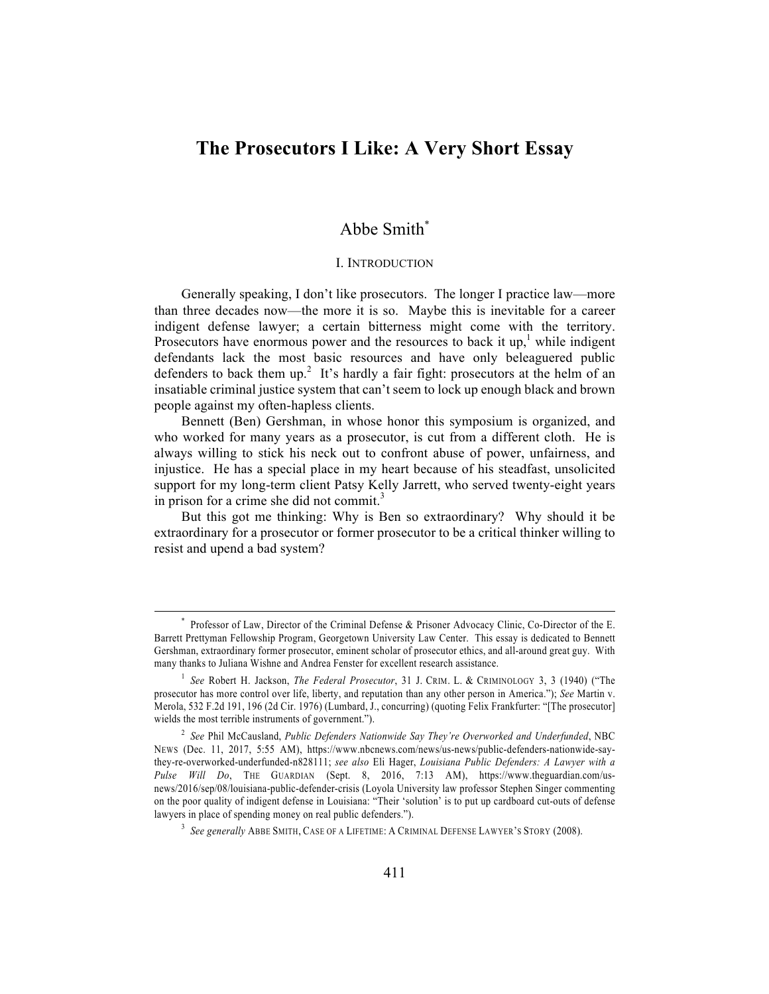# **The Prosecutors I Like: A Very Short Essay**

## Abbe Smith\*

## I. INTRODUCTION

Generally speaking, I don't like prosecutors. The longer I practice law—more than three decades now—the more it is so. Maybe this is inevitable for a career indigent defense lawyer; a certain bitterness might come with the territory. Prosecutors have enormous power and the resources to back it up,<sup>1</sup> while indigent defendants lack the most basic resources and have only beleaguered public defenders to back them up.<sup>2</sup> It's hardly a fair fight: prosecutors at the helm of an insatiable criminal justice system that can't seem to lock up enough black and brown people against my often-hapless clients.

Bennett (Ben) Gershman, in whose honor this symposium is organized, and who worked for many years as a prosecutor, is cut from a different cloth. He is always willing to stick his neck out to confront abuse of power, unfairness, and injustice. He has a special place in my heart because of his steadfast, unsolicited support for my long-term client Patsy Kelly Jarrett, who served twenty-eight years in prison for a crime she did not commit.<sup>3</sup>

But this got me thinking: Why is Ben so extraordinary? Why should it be extraordinary for a prosecutor or former prosecutor to be a critical thinker willing to resist and upend a bad system?

Professor of Law, Director of the Criminal Defense & Prisoner Advocacy Clinic, Co-Director of the E. Barrett Prettyman Fellowship Program, Georgetown University Law Center. This essay is dedicated to Bennett Gershman, extraordinary former prosecutor, eminent scholar of prosecutor ethics, and all-around great guy. With many thanks to Juliana Wishne and Andrea Fenster for excellent research assistance.

<sup>&</sup>lt;sup>1</sup> See Robert H. Jackson, *The Federal Prosecutor*, 31 J. CRIM. L. & CRIMINOLOGY 3, 3 (1940) ("The prosecutor has more control over life, liberty, and reputation than any other person in America."); *See* Martin v. Merola, 532 F.2d 191, 196 (2d Cir. 1976) (Lumbard, J., concurring) (quoting Felix Frankfurter: "[The prosecutor] wields the most terrible instruments of government.").

<sup>2</sup> *See* Phil McCausland, *Public Defenders Nationwide Say They're Overworked and Underfunded*, NBC NEWS (Dec. 11, 2017, 5:55 AM), https://www.nbcnews.com/news/us-news/public-defenders-nationwide-saythey-re-overworked-underfunded-n828111; *see also* Eli Hager, *Louisiana Public Defenders: A Lawyer with a Pulse Will Do*, THE GUARDIAN (Sept. 8, 2016, 7:13 AM), https://www.theguardian.com/usnews/2016/sep/08/louisiana-public-defender-crisis (Loyola University law professor Stephen Singer commenting on the poor quality of indigent defense in Louisiana: "Their 'solution' is to put up cardboard cut-outs of defense lawyers in place of spending money on real public defenders.").

<sup>3</sup> *See generally* ABBE SMITH, CASE OF A LIFETIME: A CRIMINAL DEFENSE LAWYER'S STORY (2008).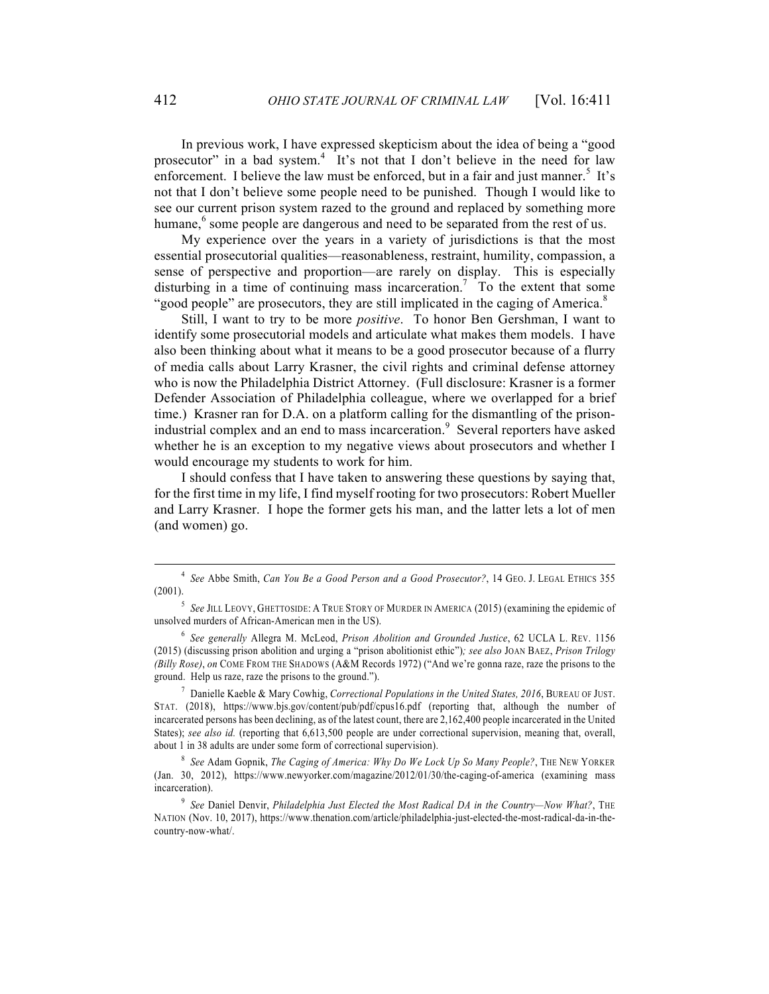In previous work, I have expressed skepticism about the idea of being a "good prosecutor" in a bad system.<sup>4</sup> It's not that I don't believe in the need for law enforcement. I believe the law must be enforced, but in a fair and just manner.<sup>5</sup> It's not that I don't believe some people need to be punished. Though I would like to see our current prison system razed to the ground and replaced by something more humane,<sup>6</sup> some people are dangerous and need to be separated from the rest of us.

My experience over the years in a variety of jurisdictions is that the most essential prosecutorial qualities—reasonableness, restraint, humility, compassion, a sense of perspective and proportion—are rarely on display. This is especially disturbing in a time of continuing mass incarceration.<sup>7</sup> To the extent that some "good people" are prosecutors, they are still implicated in the caging of America. $8$ 

Still, I want to try to be more *positive*. To honor Ben Gershman, I want to identify some prosecutorial models and articulate what makes them models. I have also been thinking about what it means to be a good prosecutor because of a flurry of media calls about Larry Krasner, the civil rights and criminal defense attorney who is now the Philadelphia District Attorney. (Full disclosure: Krasner is a former Defender Association of Philadelphia colleague, where we overlapped for a brief time.) Krasner ran for D.A. on a platform calling for the dismantling of the prisonindustrial complex and an end to mass incarceration.<sup>9</sup> Several reporters have asked whether he is an exception to my negative views about prosecutors and whether I would encourage my students to work for him.

I should confess that I have taken to answering these questions by saying that, for the first time in my life, I find myself rooting for two prosecutors: Robert Mueller and Larry Krasner. I hope the former gets his man, and the latter lets a lot of men (and women) go.

<sup>4</sup> *See* Abbe Smith, *Can You Be a Good Person and a Good Prosecutor?*, 14 GEO. J. LEGAL ETHICS 355 (2001).

<sup>&</sup>lt;sup>5</sup> See JILL LEOVY, GHETTOSIDE: A TRUE STORY OF MURDER IN AMERICA (2015) (examining the epidemic of unsolved murders of African-American men in the US).

<sup>6</sup> *See generally* Allegra M. McLeod, *Prison Abolition and Grounded Justice*, 62 UCLA L. REV. 1156 (2015) (discussing prison abolition and urging a "prison abolitionist ethic")*; see also* JOAN BAEZ, *Prison Trilogy (Billy Rose)*, *on* COME FROM THE SHADOWS (A&M Records 1972) ("And we're gonna raze, raze the prisons to the ground. Help us raze, raze the prisons to the ground.").

<sup>7</sup> Danielle Kaeble & Mary Cowhig, *Correctional Populations in the United States, 2016*, BUREAU OF JUST. STAT. (2018), https://www.bjs.gov/content/pub/pdf/cpus16.pdf (reporting that, although the number of incarcerated persons has been declining, as of the latest count, there are 2,162,400 people incarcerated in the United States); *see also id.* (reporting that 6,613,500 people are under correctional supervision, meaning that, overall, about 1 in 38 adults are under some form of correctional supervision).

<sup>8</sup> *See* Adam Gopnik, *The Caging of America: Why Do We Lock Up So Many People?*, THE NEW YORKER (Jan. 30, 2012), https://www.newyorker.com/magazine/2012/01/30/the-caging-of-america (examining mass incarceration).

<sup>&</sup>lt;sup>9</sup> See Daniel Denvir, *Philadelphia Just Elected the Most Radical DA in the Country—Now What?*, THE NATION (Nov. 10, 2017), https://www.thenation.com/article/philadelphia-just-elected-the-most-radical-da-in-thecountry-now-what/.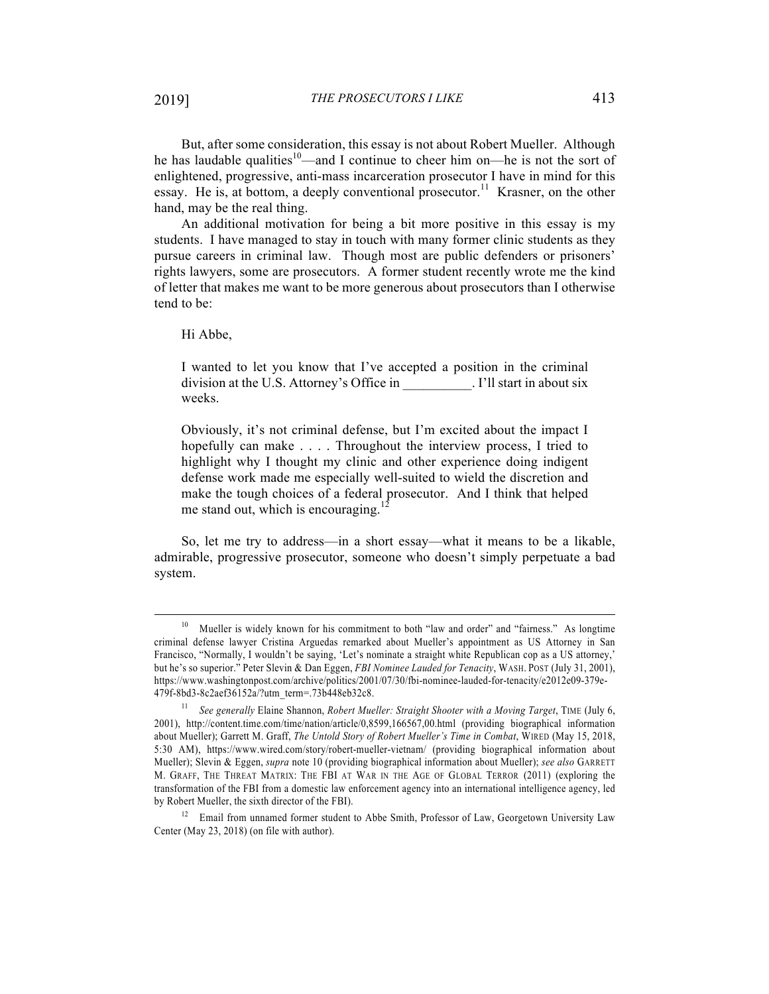But, after some consideration, this essay is not about Robert Mueller. Although he has laudable qualities<sup>10</sup>—and I continue to cheer him on—he is not the sort of enlightened, progressive, anti-mass incarceration prosecutor I have in mind for this essay. He is, at bottom, a deeply conventional prosecutor.<sup>11</sup> Krasner, on the other hand, may be the real thing.

An additional motivation for being a bit more positive in this essay is my students. I have managed to stay in touch with many former clinic students as they pursue careers in criminal law. Though most are public defenders or prisoners' rights lawyers, some are prosecutors. A former student recently wrote me the kind of letter that makes me want to be more generous about prosecutors than I otherwise tend to be:

Hi Abbe,

I wanted to let you know that I've accepted a position in the criminal division at the U.S. Attorney's Office in Fig. 1. I'll start in about six weeks.

Obviously, it's not criminal defense, but I'm excited about the impact I hopefully can make . . . . Throughout the interview process, I tried to highlight why I thought my clinic and other experience doing indigent defense work made me especially well-suited to wield the discretion and make the tough choices of a federal prosecutor. And I think that helped me stand out, which is encouraging.<sup>12</sup>

So, let me try to address—in a short essay—what it means to be a likable, admirable, progressive prosecutor, someone who doesn't simply perpetuate a bad system.

<sup>&</sup>lt;sup>10</sup> Mueller is widely known for his commitment to both "law and order" and "fairness." As longtime criminal defense lawyer Cristina Arguedas remarked about Mueller's appointment as US Attorney in San Francisco, "Normally, I wouldn't be saying, 'Let's nominate a straight white Republican cop as a US attorney,' but he's so superior." Peter Slevin & Dan Eggen, *FBI Nominee Lauded for Tenacity*, WASH. POST (July 31, 2001), https://www.washingtonpost.com/archive/politics/2001/07/30/fbi-nominee-lauded-for-tenacity/e2012e09-379e-479f-8bd3-8c2aef36152a/?utm\_term=.73b448eb32c8.

<sup>11</sup> *See generally* Elaine Shannon, *Robert Mueller: Straight Shooter with a Moving Target*, TIME (July 6, 2001), http://content.time.com/time/nation/article/0,8599,166567,00.html (providing biographical information about Mueller); Garrett M. Graff, *The Untold Story of Robert Mueller's Time in Combat*, WIRED (May 15, 2018, 5:30 AM), https://www.wired.com/story/robert-mueller-vietnam/ (providing biographical information about Mueller); Slevin & Eggen, *supra* note 10 (providing biographical information about Mueller); *see also* GARRETT M. GRAFF, THE THREAT MATRIX: THE FBI AT WAR IN THE AGE OF GLOBAL TERROR (2011) (exploring the transformation of the FBI from a domestic law enforcement agency into an international intelligence agency, led by Robert Mueller, the sixth director of the FBI).

<sup>&</sup>lt;sup>12</sup> Email from unnamed former student to Abbe Smith, Professor of Law, Georgetown University Law Center (May 23, 2018) (on file with author).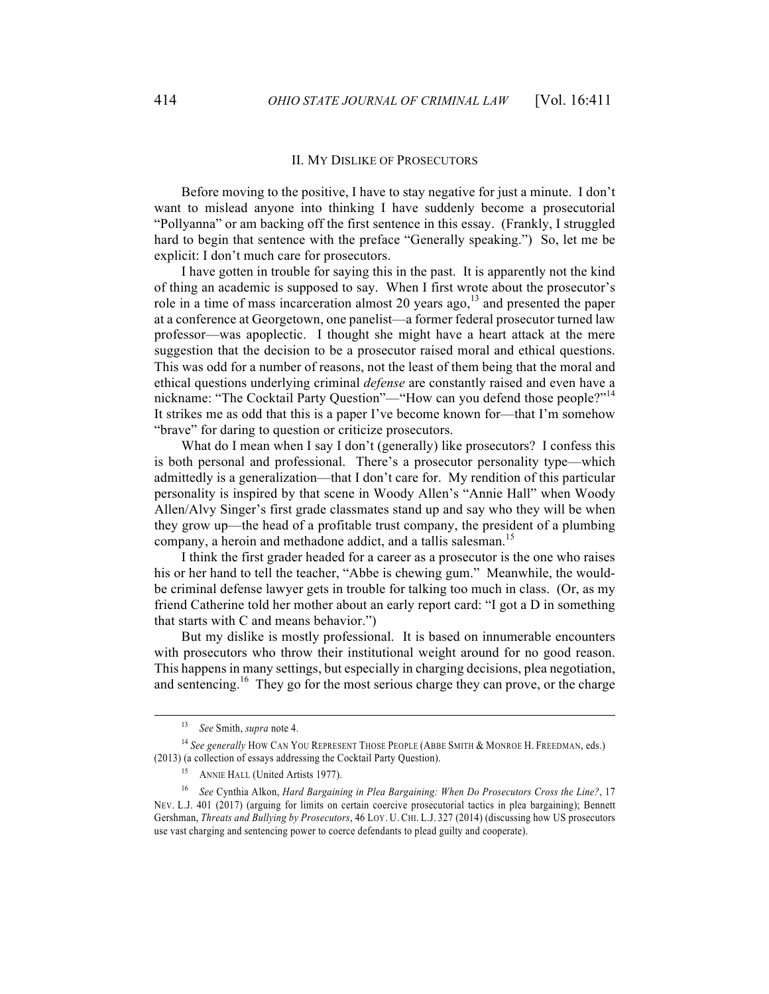#### II. MY DISLIKE OF PROSECUTORS

Before moving to the positive, I have to stay negative for just a minute. I don't want to mislead anyone into thinking I have suddenly become a prosecutorial "Pollyanna" or am backing off the first sentence in this essay. (Frankly, I struggled hard to begin that sentence with the preface "Generally speaking.") So, let me be explicit: I don't much care for prosecutors.

I have gotten in trouble for saying this in the past. It is apparently not the kind of thing an academic is supposed to say. When I first wrote about the prosecutor's role in a time of mass incarceration almost 20 years ago,  $13$  and presented the paper at a conference at Georgetown, one panelist—a former federal prosecutor turned law professor—was apoplectic. I thought she might have a heart attack at the mere suggestion that the decision to be a prosecutor raised moral and ethical questions. This was odd for a number of reasons, not the least of them being that the moral and ethical questions underlying criminal *defense* are constantly raised and even have a nickname: "The Cocktail Party Question"— "How can you defend those people?"<sup>14</sup> It strikes me as odd that this is a paper I've become known for—that I'm somehow "brave" for daring to question or criticize prosecutors.

What do I mean when I say I don't (generally) like prosecutors? I confess this is both personal and professional. There's a prosecutor personality type—which admittedly is a generalization—that I don't care for. My rendition of this particular personality is inspired by that scene in Woody Allen's "Annie Hall" when Woody Allen/Alvy Singer's first grade classmates stand up and say who they will be when they grow up—the head of a profitable trust company, the president of a plumbing company, a heroin and methadone addict, and a tallis salesman.<sup>15</sup>

I think the first grader headed for a career as a prosecutor is the one who raises his or her hand to tell the teacher, "Abbe is chewing gum." Meanwhile, the wouldbe criminal defense lawyer gets in trouble for talking too much in class. (Or, as my friend Catherine told her mother about an early report card: "I got a D in something that starts with C and means behavior.")

But my dislike is mostly professional. It is based on innumerable encounters with prosecutors who throw their institutional weight around for no good reason. This happens in many settings, but especially in charging decisions, plea negotiation, and sentencing. 16 They go for the most serious charge they can prove, or the charge

<sup>13</sup> *See* Smith, *supra* note 4.

<sup>&</sup>lt;sup>14</sup> See generally HOW CAN YOU REPRESENT THOSE PEOPLE (ABBE SMITH & MONROE H. FREEDMAN, eds.) (2013) (a collection of essays addressing the Cocktail Party Question).

<sup>&</sup>lt;sup>15</sup> ANNIE HALL (United Artists 1977).

<sup>16</sup> *See* Cynthia Alkon, *Hard Bargaining in Plea Bargaining: When Do Prosecutors Cross the Line?*, 17 NEV. L.J. 401 (2017) (arguing for limits on certain coercive prosecutorial tactics in plea bargaining); Bennett Gershman, *Threats and Bullying by Prosecutors*, 46 LOY. U. CHI. L.J. 327 (2014) (discussing how US prosecutors use vast charging and sentencing power to coerce defendants to plead guilty and cooperate).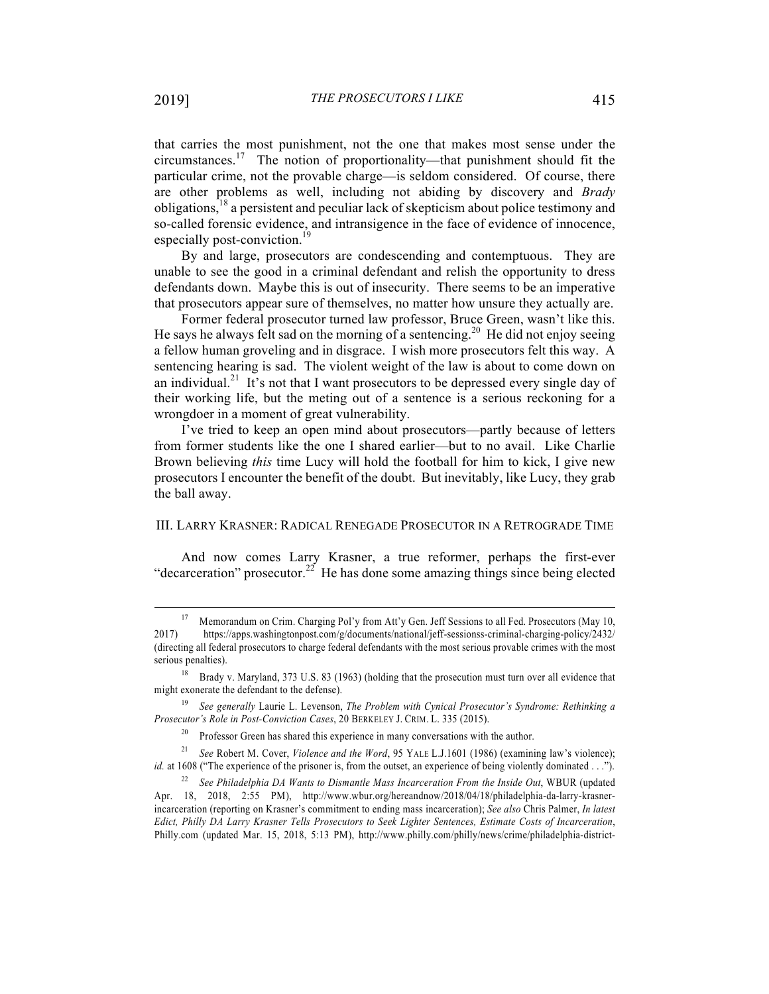that carries the most punishment, not the one that makes most sense under the circumstances.<sup>17</sup> The notion of proportionality—that punishment should fit the particular crime, not the provable charge—is seldom considered. Of course, there are other problems as well, including not abiding by discovery and *Brady* obligations,<sup>18</sup> a persistent and peculiar lack of skepticism about police testimony and so-called forensic evidence, and intransigence in the face of evidence of innocence, especially post-conviction.<sup>19</sup>

By and large, prosecutors are condescending and contemptuous. They are unable to see the good in a criminal defendant and relish the opportunity to dress defendants down. Maybe this is out of insecurity. There seems to be an imperative that prosecutors appear sure of themselves, no matter how unsure they actually are.

Former federal prosecutor turned law professor, Bruce Green, wasn't like this. He says he always felt sad on the morning of a sentencing.<sup>20</sup> He did not enjoy seeing a fellow human groveling and in disgrace. I wish more prosecutors felt this way. A sentencing hearing is sad. The violent weight of the law is about to come down on an individual.<sup>21</sup> It's not that I want prosecutors to be depressed every single day of their working life, but the meting out of a sentence is a serious reckoning for a wrongdoer in a moment of great vulnerability.

I've tried to keep an open mind about prosecutors—partly because of letters from former students like the one I shared earlier—but to no avail. Like Charlie Brown believing *this* time Lucy will hold the football for him to kick, I give new prosecutors I encounter the benefit of the doubt. But inevitably, like Lucy, they grab the ball away.

## III. LARRY KRASNER: RADICAL RENEGADE PROSECUTOR IN A RETROGRADE TIME

And now comes Larry Krasner, a true reformer, perhaps the first-ever "decarceration" prosecutor.<sup>22</sup> He has done some amazing things since being elected

<sup>&</sup>lt;sup>17</sup> Memorandum on Crim. Charging Pol'y from Att'y Gen. Jeff Sessions to all Fed. Prosecutors (May 10, 2017) https://apps.washingtonpost.com/g/documents/national/jeff-sessionss-criminal-charging-policy/2432/ (directing all federal prosecutors to charge federal defendants with the most serious provable crimes with the most serious penalties).

<sup>&</sup>lt;sup>18</sup> Brady v. Maryland, 373 U.S. 83 (1963) (holding that the prosecution must turn over all evidence that might exonerate the defendant to the defense).

<sup>19</sup> *See generally* Laurie L. Levenson, *The Problem with Cynical Prosecutor's Syndrome: Rethinking a Prosecutor's Role in Post-Conviction Cases*, 20 BERKELEY J. CRIM. L. 335 (2015).

<sup>&</sup>lt;sup>20</sup> Professor Green has shared this experience in many conversations with the author.

<sup>21</sup> *See* Robert M. Cover, *Violence and the Word*, 95 YALE L.J.1601 (1986) (examining law's violence); *id.* at 1608 ("The experience of the prisoner is, from the outset, an experience of being violently dominated . . .").

<sup>&</sup>lt;sup>22</sup> See Philadelphia DA Wants to Dismantle Mass Incarceration From the Inside Out, WBUR (updated Apr. 18, 2018, 2:55 PM), http://www.wbur.org/hereandnow/2018/04/18/philadelphia-da-larry-krasnerincarceration (reporting on Krasner's commitment to ending mass incarceration); *See also* Chris Palmer, *In latest Edict, Philly DA Larry Krasner Tells Prosecutors to Seek Lighter Sentences, Estimate Costs of Incarceration*, Philly.com (updated Mar. 15, 2018, 5:13 PM), http://www.philly.com/philly/news/crime/philadelphia-district-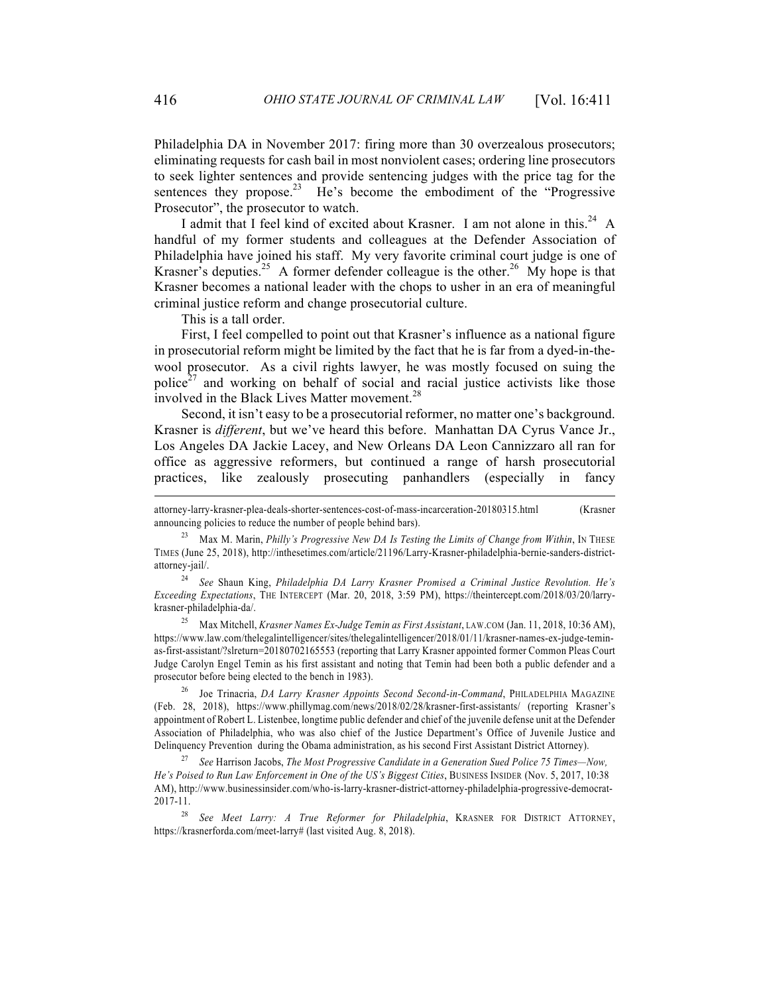Philadelphia DA in November 2017: firing more than 30 overzealous prosecutors; eliminating requests for cash bail in most nonviolent cases; ordering line prosecutors to seek lighter sentences and provide sentencing judges with the price tag for the sentences they propose.<sup>23</sup> He's become the embodiment of the "Progressive" Prosecutor", the prosecutor to watch.

I admit that I feel kind of excited about Krasner. I am not alone in this.<sup>24</sup> A handful of my former students and colleagues at the Defender Association of Philadelphia have joined his staff. My very favorite criminal court judge is one of Krasner's deputies.<sup>25</sup> A former defender colleague is the other.<sup>26</sup> My hope is that Krasner becomes a national leader with the chops to usher in an era of meaningful criminal justice reform and change prosecutorial culture.

This is a tall order.

First, I feel compelled to point out that Krasner's influence as a national figure in prosecutorial reform might be limited by the fact that he is far from a dyed-in-thewool prosecutor. As a civil rights lawyer, he was mostly focused on suing the police<sup>27</sup> and working on behalf of social and racial justice activists like those involved in the Black Lives Matter movement.<sup>28</sup>

Second, it isn't easy to be a prosecutorial reformer, no matter one's background. Krasner is *different*, but we've heard this before. Manhattan DA Cyrus Vance Jr., Los Angeles DA Jackie Lacey, and New Orleans DA Leon Cannizzaro all ran for office as aggressive reformers, but continued a range of harsh prosecutorial practices, like zealously prosecuting panhandlers (especially in fancy

25 Max Mitchell, *Krasner Names Ex-Judge Temin as First Assistant*, LAW.COM (Jan. 11, 2018, 10:36 AM), https://www.law.com/thelegalintelligencer/sites/thelegalintelligencer/2018/01/11/krasner-names-ex-judge-teminas-first-assistant/?slreturn=20180702165553 (reporting that Larry Krasner appointed former Common Pleas Court Judge Carolyn Engel Temin as his first assistant and noting that Temin had been both a public defender and a prosecutor before being elected to the bench in 1983).

26 Joe Trinacria, *DA Larry Krasner Appoints Second Second-in-Command*, PHILADELPHIA MAGAZINE (Feb. 28, 2018), https://www.phillymag.com/news/2018/02/28/krasner-first-assistants/ (reporting Krasner's appointment of Robert L. Listenbee, longtime public defender and chief of the juvenile defense unit at the Defender Association of Philadelphia, who was also chief of the Justice Department's Office of Juvenile Justice and Delinquency Prevention during the Obama administration, as his second First Assistant District Attorney).

27 *See* Harrison Jacobs, *The Most Progressive Candidate in a Generation Sued Police 75 Times—Now, He's Poised to Run Law Enforcement in One of the US's Biggest Cities*, BUSINESS INSIDER (Nov. 5, 2017, 10:38 AM), http://www.businessinsider.com/who-is-larry-krasner-district-attorney-philadelphia-progressive-democrat-2017-11.

28 *See Meet Larry: A True Reformer for Philadelphia*, KRASNER FOR DISTRICT ATTORNEY, https://krasnerforda.com/meet-larry# (last visited Aug. 8, 2018).

attorney-larry-krasner-plea-deals-shorter-sentences-cost-of-mass-incarceration-20180315.html (Krasner announcing policies to reduce the number of people behind bars).

<sup>23</sup> Max M. Marin, *Philly's Progressive New DA Is Testing the Limits of Change from Within*, IN THESE TIMES (June 25, 2018), http://inthesetimes.com/article/21196/Larry-Krasner-philadelphia-bernie-sanders-districtattorney-jail/.

<sup>24</sup> *See* Shaun King, *Philadelphia DA Larry Krasner Promised a Criminal Justice Revolution. He's Exceeding Expectations*, THE INTERCEPT (Mar. 20, 2018, 3:59 PM), https://theintercept.com/2018/03/20/larrykrasner-philadelphia-da/.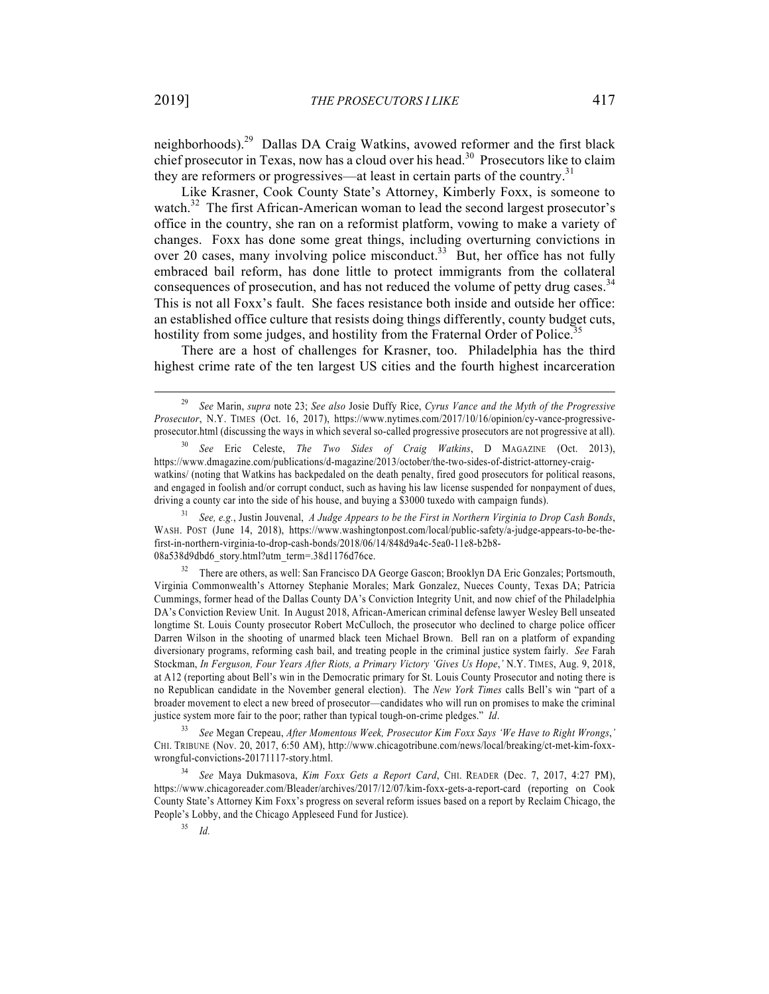neighborhoods).29 Dallas DA Craig Watkins, avowed reformer and the first black chief prosecutor in Texas, now has a cloud over his head.<sup>30</sup> Prosecutors like to claim they are reformers or progressives—at least in certain parts of the country.<sup>31</sup>

Like Krasner, Cook County State's Attorney, Kimberly Foxx, is someone to watch.<sup>32</sup> The first African-American woman to lead the second largest prosecutor's office in the country, she ran on a reformist platform, vowing to make a variety of changes. Foxx has done some great things, including overturning convictions in over 20 cases, many involving police misconduct.<sup>33</sup> But, her office has not fully embraced bail reform, has done little to protect immigrants from the collateral consequences of prosecution, and has not reduced the volume of petty drug cases.<sup>34</sup> This is not all Foxx's fault. She faces resistance both inside and outside her office: an established office culture that resists doing things differently, county budget cuts, hostility from some judges, and hostility from the Fraternal Order of Police.<sup>35</sup>

There are a host of challenges for Krasner, too. Philadelphia has the third highest crime rate of the ten largest US cities and the fourth highest incarceration

31 *See, e.g.*, Justin Jouvenal, *A Judge Appears to be the First in Northern Virginia to Drop Cash Bonds*, WASH. POST (June 14, 2018), https://www.washingtonpost.com/local/public-safety/a-judge-appears-to-be-thefirst-in-northern-virginia-to-drop-cash-bonds/2018/06/14/848d9a4c-5ea0-11e8-b2b8- 08a538d9dbd6\_story.html?utm\_term=.38d1176d76ce.

32 There are others, as well: San Francisco DA George Gascon; Brooklyn DA Eric Gonzales; Portsmouth, Virginia Commonwealth's Attorney Stephanie Morales; Mark Gonzalez, Nueces County, Texas DA; Patricia Cummings, former head of the Dallas County DA's Conviction Integrity Unit, and now chief of the Philadelphia DA's Conviction Review Unit. In August 2018, African-American criminal defense lawyer Wesley Bell unseated longtime St. Louis County prosecutor Robert McCulloch, the prosecutor who declined to charge police officer Darren Wilson in the shooting of unarmed black teen Michael Brown. Bell ran on a platform of expanding diversionary programs, reforming cash bail, and treating people in the criminal justice system fairly. *See* Farah Stockman, *In Ferguson, Four Years After Riots, a Primary Victory 'Gives Us Hope*,*'* N.Y. TIMES, Aug. 9, 2018, at A12 (reporting about Bell's win in the Democratic primary for St. Louis County Prosecutor and noting there is no Republican candidate in the November general election). The *New York Times* calls Bell's win "part of a broader movement to elect a new breed of prosecutor—candidates who will run on promises to make the criminal justice system more fair to the poor; rather than typical tough-on-crime pledges." *Id*.

33 *See* Megan Crepeau, *After Momentous Week, Prosecutor Kim Foxx Says 'We Have to Right Wrongs*,*'* CHI. TRIBUNE (Nov. 20, 2017, 6:50 AM), http://www.chicagotribune.com/news/local/breaking/ct-met-kim-foxxwrongful-convictions-20171117-story.html.

34 *See* Maya Dukmasova, *Kim Foxx Gets a Report Card*, CHI. READER (Dec. 7, 2017, 4:27 PM), https://www.chicagoreader.com/Bleader/archives/2017/12/07/kim-foxx-gets-a-report-card (reporting on Cook County State's Attorney Kim Foxx's progress on several reform issues based on a report by Reclaim Chicago, the People's Lobby, and the Chicago Appleseed Fund for Justice).

35 *Id.*

<sup>29</sup> *See* Marin, *supra* note 23; *See also* Josie Duffy Rice, *Cyrus Vance and the Myth of the Progressive Prosecutor*, N.Y. TIMES (Oct. 16, 2017), https://www.nytimes.com/2017/10/16/opinion/cy-vance-progressiveprosecutor.html (discussing the ways in which several so-called progressive prosecutors are not progressive at all).

<sup>30</sup> *See* Eric Celeste, *The Two Sides of Craig Watkins*, D MAGAZINE (Oct. 2013), https://www.dmagazine.com/publications/d-magazine/2013/october/the-two-sides-of-district-attorney-craigwatkins/ (noting that Watkins has backpedaled on the death penalty, fired good prosecutors for political reasons, and engaged in foolish and/or corrupt conduct, such as having his law license suspended for nonpayment of dues, driving a county car into the side of his house, and buying a \$3000 tuxedo with campaign funds).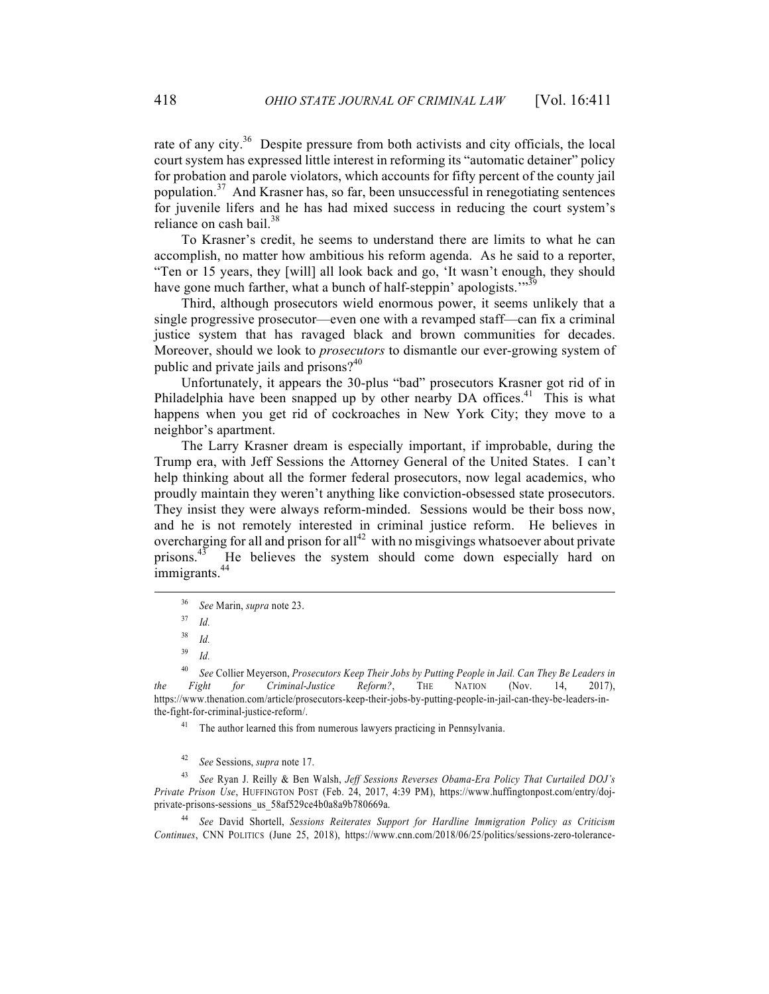rate of any city. $36$  Despite pressure from both activists and city officials, the local court system has expressed little interest in reforming its "automatic detainer" policy for probation and parole violators, which accounts for fifty percent of the county jail population.37 And Krasner has, so far, been unsuccessful in renegotiating sentences for juvenile lifers and he has had mixed success in reducing the court system's reliance on cash bail.<sup>38</sup>

To Krasner's credit, he seems to understand there are limits to what he can accomplish, no matter how ambitious his reform agenda. As he said to a reporter, "Ten or 15 years, they [will] all look back and go, 'It wasn't enough, they should have gone much farther, what a bunch of half-steppin' apologists."<sup>39</sup>

Third, although prosecutors wield enormous power, it seems unlikely that a single progressive prosecutor—even one with a revamped staff—can fix a criminal justice system that has ravaged black and brown communities for decades. Moreover, should we look to *prosecutors* to dismantle our ever-growing system of public and private jails and prisons?<sup>40</sup>

Unfortunately, it appears the 30-plus "bad" prosecutors Krasner got rid of in Philadelphia have been snapped up by other nearby  $DA$  offices.<sup>41</sup> This is what happens when you get rid of cockroaches in New York City; they move to a neighbor's apartment.

The Larry Krasner dream is especially important, if improbable, during the Trump era, with Jeff Sessions the Attorney General of the United States. I can't help thinking about all the former federal prosecutors, now legal academics, who proudly maintain they weren't anything like conviction-obsessed state prosecutors. They insist they were always reform-minded. Sessions would be their boss now, and he is not remotely interested in criminal justice reform. He believes in overcharging for all and prison for all<sup>42</sup> with no misgivings whatsoever about private prisons.<sup>43</sup> He believes the system should come down especially hard on immigrants.<sup>44</sup>

<sup>41</sup> The author learned this from numerous lawyers practicing in Pennsylvania.

42 *See* Sessions, *supra* note 17.

43 *See* Ryan J. Reilly & Ben Walsh, *Jeff Sessions Reverses Obama-Era Policy That Curtailed DOJ's Private Prison Use*, HUFFINGTON POST (Feb. 24, 2017, 4:39 PM), https://www.huffingtonpost.com/entry/dojprivate-prisons-sessions\_us\_58af529ce4b0a8a9b780669a.

44 *See* David Shortell, *Sessions Reiterates Support for Hardline Immigration Policy as Criticism Continues*, CNN POLITICS (June 25, 2018), https://www.cnn.com/2018/06/25/politics/sessions-zero-tolerance-

<sup>36</sup> *See* Marin, *supra* note 23.

<sup>37</sup> *Id.*

<sup>38</sup> *Id.*

<sup>39</sup> *Id.*

<sup>40</sup> *See* Collier Meyerson, *Prosecutors Keep Their Jobs by Putting People in Jail. Can They Be Leaders in the Fight for Criminal-Justice Reform?*, THE NATION (Nov. 14, 2017), https://www.thenation.com/article/prosecutors-keep-their-jobs-by-putting-people-in-jail-can-they-be-leaders-inthe-fight-for-criminal-justice-reform/.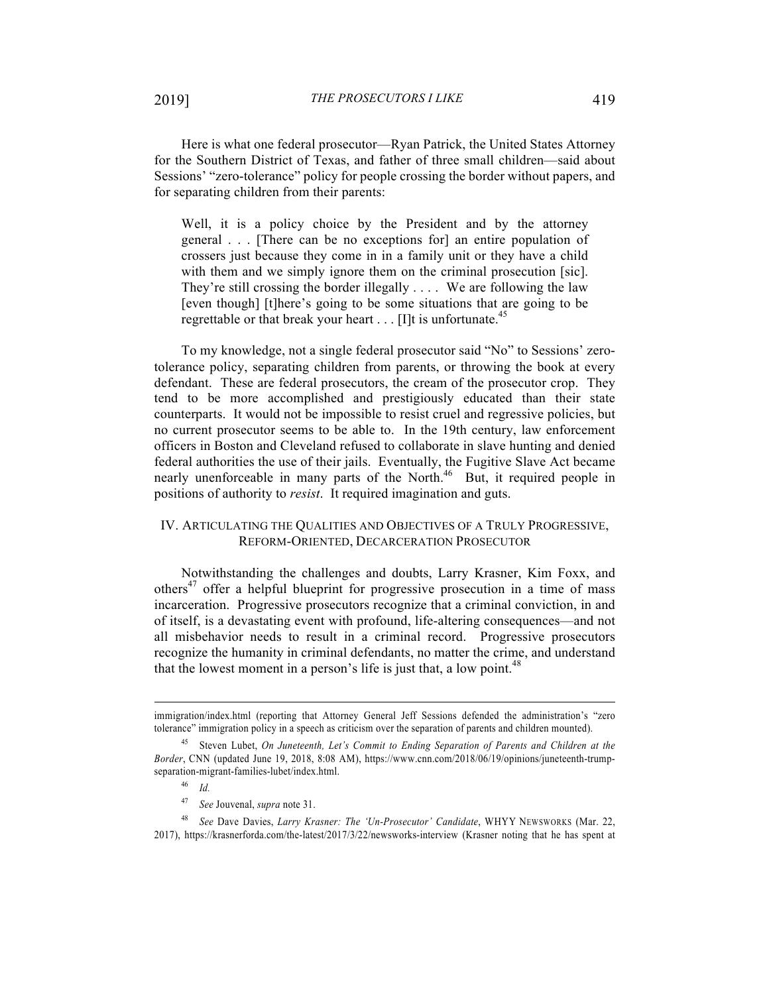Here is what one federal prosecutor—Ryan Patrick, the United States Attorney for the Southern District of Texas, and father of three small children—said about Sessions' "zero-tolerance" policy for people crossing the border without papers, and for separating children from their parents:

Well, it is a policy choice by the President and by the attorney general . . . [There can be no exceptions for] an entire population of crossers just because they come in in a family unit or they have a child with them and we simply ignore them on the criminal prosecution [sic]. They're still crossing the border illegally . . . . We are following the law [even though] [t]here's going to be some situations that are going to be regrettable or that break your heart . . . [I]t is unfortunate.<sup>45</sup>

To my knowledge, not a single federal prosecutor said "No" to Sessions' zerotolerance policy, separating children from parents, or throwing the book at every defendant. These are federal prosecutors, the cream of the prosecutor crop. They tend to be more accomplished and prestigiously educated than their state counterparts. It would not be impossible to resist cruel and regressive policies, but no current prosecutor seems to be able to. In the 19th century, law enforcement officers in Boston and Cleveland refused to collaborate in slave hunting and denied federal authorities the use of their jails. Eventually, the Fugitive Slave Act became nearly unenforceable in many parts of the North.<sup>46</sup> But, it required people in positions of authority to *resist*. It required imagination and guts.

## IV. ARTICULATING THE QUALITIES AND OBJECTIVES OF A TRULY PROGRESSIVE, REFORM-ORIENTED, DECARCERATION PROSECUTOR

Notwithstanding the challenges and doubts, Larry Krasner, Kim Foxx, and others<sup>47</sup> offer a helpful blueprint for progressive prosecution in a time of mass incarceration. Progressive prosecutors recognize that a criminal conviction, in and of itself, is a devastating event with profound, life-altering consequences—and not all misbehavior needs to result in a criminal record. Progressive prosecutors recognize the humanity in criminal defendants, no matter the crime, and understand that the lowest moment in a person's life is just that, a low point.<sup>48</sup>

immigration/index.html (reporting that Attorney General Jeff Sessions defended the administration's "zero tolerance" immigration policy in a speech as criticism over the separation of parents and children mounted).

<sup>45</sup> Steven Lubet, *On Juneteenth, Let's Commit to Ending Separation of Parents and Children at the Border*, CNN (updated June 19, 2018, 8:08 AM), https://www.cnn.com/2018/06/19/opinions/juneteenth-trumpseparation-migrant-families-lubet/index.html.

<sup>46</sup> *Id.*

<sup>47</sup> *See* Jouvenal, *supra* note 31.

<sup>48</sup> *See* Dave Davies, *Larry Krasner: The 'Un-Prosecutor' Candidate*, WHYY NEWSWORKS (Mar. 22, 2017), https://krasnerforda.com/the-latest/2017/3/22/newsworks-interview (Krasner noting that he has spent at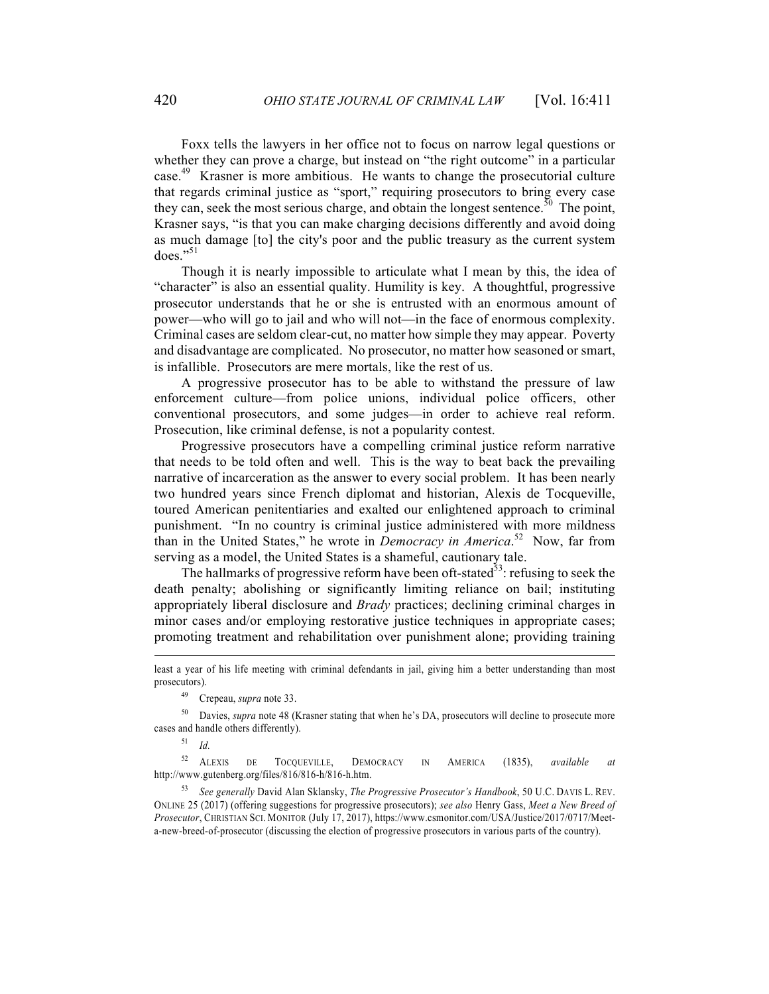Foxx tells the lawyers in her office not to focus on narrow legal questions or whether they can prove a charge, but instead on "the right outcome" in a particular case. 49 Krasner is more ambitious. He wants to change the prosecutorial culture that regards criminal justice as "sport," requiring prosecutors to bring every case they can, seek the most serious charge, and obtain the longest sentence.<sup>50</sup> The point, Krasner says, "is that you can make charging decisions differently and avoid doing as much damage [to] the city's poor and the public treasury as the current system  $does.$ <sup>51</sup>

Though it is nearly impossible to articulate what I mean by this, the idea of "character" is also an essential quality. Humility is key. A thoughtful, progressive prosecutor understands that he or she is entrusted with an enormous amount of power—who will go to jail and who will not—in the face of enormous complexity. Criminal cases are seldom clear-cut, no matter how simple they may appear. Poverty and disadvantage are complicated. No prosecutor, no matter how seasoned or smart, is infallible. Prosecutors are mere mortals, like the rest of us.

A progressive prosecutor has to be able to withstand the pressure of law enforcement culture—from police unions, individual police officers, other conventional prosecutors, and some judges—in order to achieve real reform. Prosecution, like criminal defense, is not a popularity contest.

Progressive prosecutors have a compelling criminal justice reform narrative that needs to be told often and well. This is the way to beat back the prevailing narrative of incarceration as the answer to every social problem. It has been nearly two hundred years since French diplomat and historian, Alexis de Tocqueville, toured American penitentiaries and exalted our enlightened approach to criminal punishment. "In no country is criminal justice administered with more mildness than in the United States," he wrote in *Democracy in America*. 52 Now, far from serving as a model, the United States is a shameful, cautionary tale.

The hallmarks of progressive reform have been oft-stated<sup>53</sup>: refusing to seek the death penalty; abolishing or significantly limiting reliance on bail; instituting appropriately liberal disclosure and *Brady* practices; declining criminal charges in minor cases and/or employing restorative justice techniques in appropriate cases; promoting treatment and rehabilitation over punishment alone; providing training

52 ALEXIS DE TOCQUEVILLE, DEMOCRACY IN AMERICA (1835), *available at*  http://www.gutenberg.org/files/816/816-h/816-h.htm.

53 *See generally* David Alan Sklansky, *The Progressive Prosecutor's Handbook*, 50 U.C. DAVIS L. REV. ONLINE 25 (2017) (offering suggestions for progressive prosecutors); *see also* Henry Gass, *Meet a New Breed of Prosecutor*, CHRISTIAN SCI. MONITOR (July 17, 2017), https://www.csmonitor.com/USA/Justice/2017/0717/Meeta-new-breed-of-prosecutor (discussing the election of progressive prosecutors in various parts of the country).

least a year of his life meeting with criminal defendants in jail, giving him a better understanding than most prosecutors).

<sup>49</sup> Crepeau, *supra* note 33.

<sup>50</sup> Davies, *supra* note 48 (Krasner stating that when he's DA, prosecutors will decline to prosecute more cases and handle others differently).

<sup>51</sup> *Id.*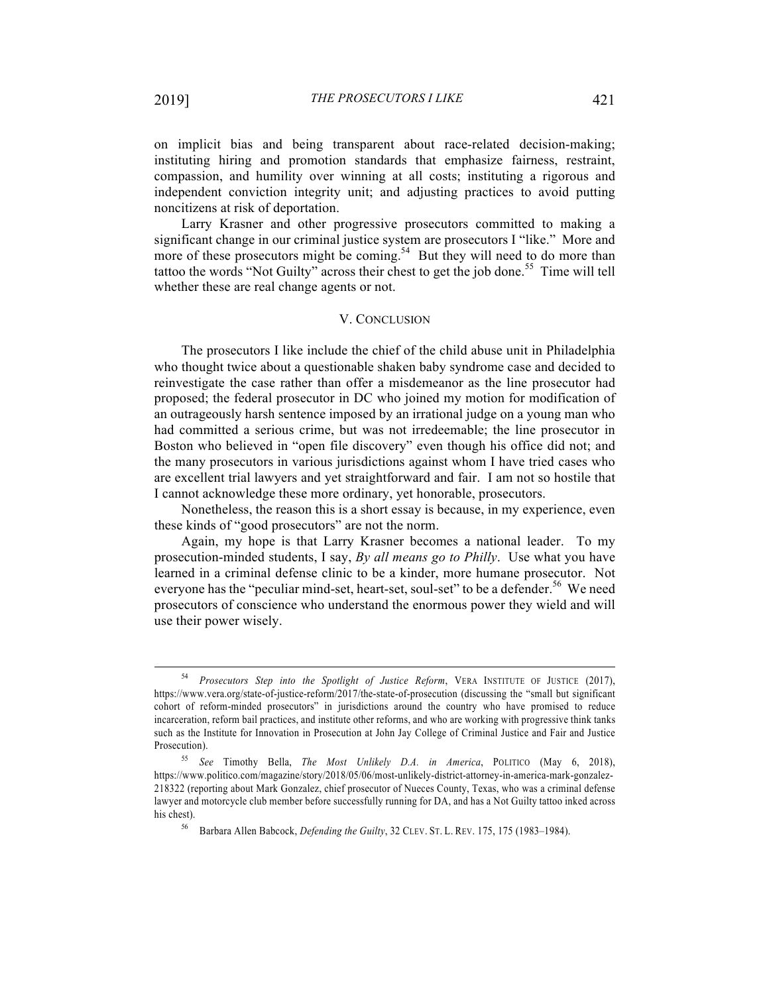on implicit bias and being transparent about race-related decision-making; instituting hiring and promotion standards that emphasize fairness, restraint, compassion, and humility over winning at all costs; instituting a rigorous and independent conviction integrity unit; and adjusting practices to avoid putting noncitizens at risk of deportation.

Larry Krasner and other progressive prosecutors committed to making a significant change in our criminal justice system are prosecutors I "like." More and more of these prosecutors might be coming.<sup>54</sup> But they will need to do more than tattoo the words "Not Guilty" across their chest to get the job done. 55 Time will tell whether these are real change agents or not.

## V. CONCLUSION

The prosecutors I like include the chief of the child abuse unit in Philadelphia who thought twice about a questionable shaken baby syndrome case and decided to reinvestigate the case rather than offer a misdemeanor as the line prosecutor had proposed; the federal prosecutor in DC who joined my motion for modification of an outrageously harsh sentence imposed by an irrational judge on a young man who had committed a serious crime, but was not irredeemable; the line prosecutor in Boston who believed in "open file discovery" even though his office did not; and the many prosecutors in various jurisdictions against whom I have tried cases who are excellent trial lawyers and yet straightforward and fair. I am not so hostile that I cannot acknowledge these more ordinary, yet honorable, prosecutors.

Nonetheless, the reason this is a short essay is because, in my experience, even these kinds of "good prosecutors" are not the norm.

Again, my hope is that Larry Krasner becomes a national leader. To my prosecution-minded students, I say, *By all means go to Philly*. Use what you have learned in a criminal defense clinic to be a kinder, more humane prosecutor. Not everyone has the "peculiar mind-set, heart-set, soul-set" to be a defender.<sup>56</sup> We need prosecutors of conscience who understand the enormous power they wield and will use their power wisely.

<sup>54</sup> *Prosecutors Step into the Spotlight of Justice Reform*, VERA INSTITUTE OF JUSTICE (2017), https://www.vera.org/state-of-justice-reform/2017/the-state-of-prosecution (discussing the "small but significant cohort of reform-minded prosecutors" in jurisdictions around the country who have promised to reduce incarceration, reform bail practices, and institute other reforms, and who are working with progressive think tanks such as the Institute for Innovation in Prosecution at John Jay College of Criminal Justice and Fair and Justice Prosecution).

<sup>55</sup> *See* Timothy Bella, *The Most Unlikely D.A. in America*, POLITICO (May 6, 2018), https://www.politico.com/magazine/story/2018/05/06/most-unlikely-district-attorney-in-america-mark-gonzalez-218322 (reporting about Mark Gonzalez, chief prosecutor of Nueces County, Texas, who was a criminal defense lawyer and motorcycle club member before successfully running for DA, and has a Not Guilty tattoo inked across his chest).

<sup>56</sup> Barbara Allen Babcock, *Defending the Guilty*, 32 CLEV. ST. L. REV. 175, 175 (1983–1984).